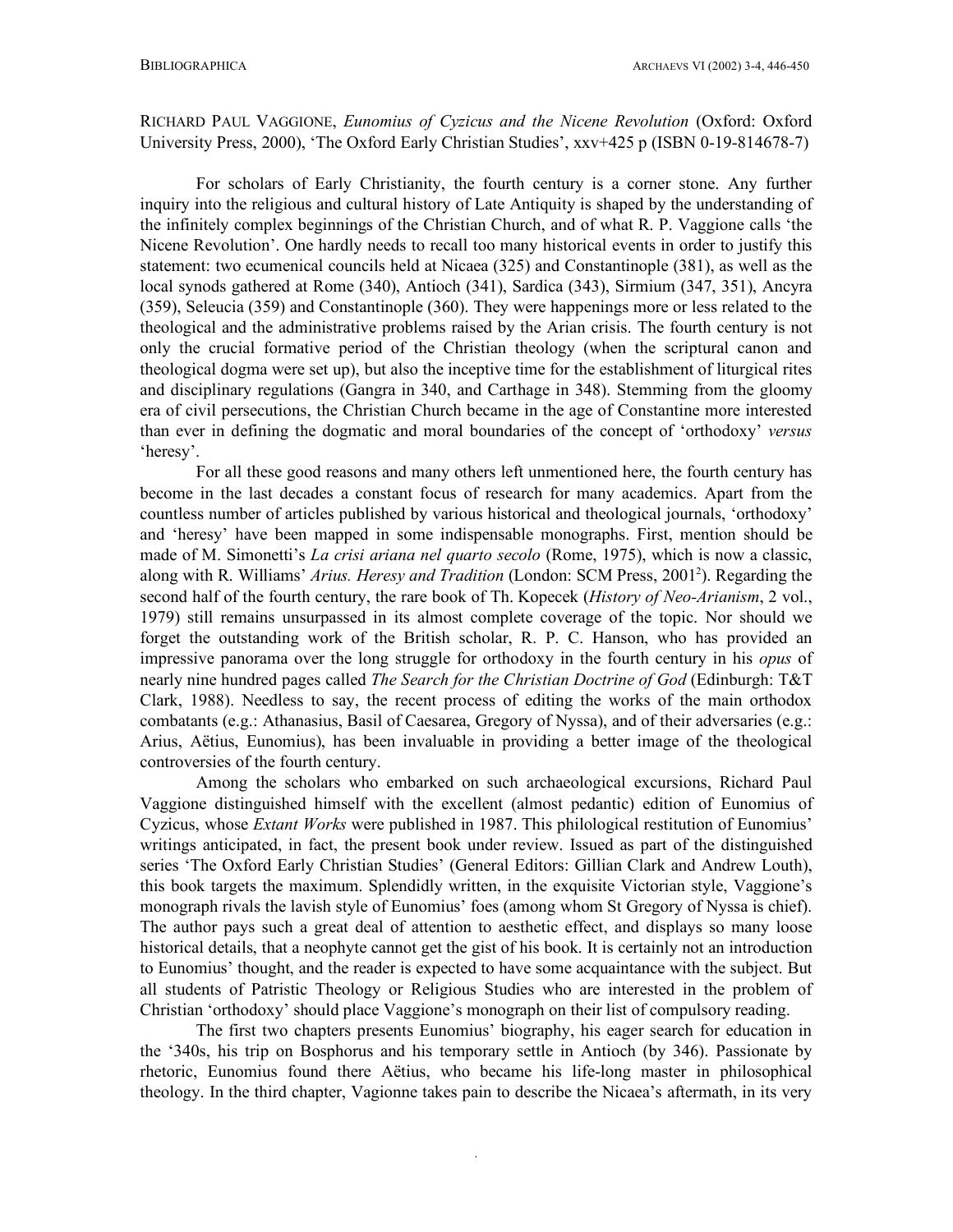## RICHARD PAUL VAGGIONE, *Eunomius of Cyzicus and the Nicene Revolution* (Oxford: Oxford University Press, 2000), 'The Oxford Early Christian Studies', xxv+425 p (ISBN 0-19-814678-7)

For scholars of Early Christianity, the fourth century is a corner stone. Any further inquiry into the religious and cultural history of Late Antiquity is shaped by the understanding of the infinitely complex beginnings of the Christian Church, and of what R. P. Vaggione calls 'the Nicene Revolution'. One hardly needs to recall too many historical events in order to justify this statement: two ecumenical councils held at Nicaea (325) and Constantinople (381), as well as the local synods gathered at Rome (340), Antioch (341), Sardica (343), Sirmium (347, 351), Ancyra (359), Seleucia (359) and Constantinople (360). They were happenings more or less related to the theological and the administrative problems raised by the Arian crisis. The fourth century is not only the crucial formative period of the Christian theology (when the scriptural canon and theological dogma were set up), but also the inceptive time for the establishment of liturgical rites and disciplinary regulations (Gangra in 340, and Carthage in 348). Stemming from the gloomy era of civil persecutions, the Christian Church became in the age of Constantine more interested than ever in defining the dogmatic and moral boundaries of the concept of 'orthodoxy' *versus* 'heresy'.

For all these good reasons and many others left unmentioned here, the fourth century has become in the last decades a constant focus of research for many academics. Apart from the countless number of articles published by various historical and theological journals, 'orthodoxy' and 'heresy' have been mapped in some indispensable monographs. First, mention should be made of M. Simonetti's *La crisi ariana nel quarto secolo* (Rome, 1975), which is now a classic, along with R. Williams' *Arius. Heresy and Tradition* (London: SCM Press, 2001<sup>2</sup> ). Regarding the second half of the fourth century, the rare book of Th. Kopecek (*History of Neo-Arianism*, 2 vol., 1979) still remains unsurpassed in its almost complete coverage of the topic. Nor should we forget the outstanding work of the British scholar, R. P. C. Hanson, who has provided an impressive panorama over the long struggle for orthodoxy in the fourth century in his *opus* of nearly nine hundred pages called *The Search for the Christian Doctrine of God* (Edinburgh: T&T Clark, 1988). Needless to say, the recent process of editing the works of the main orthodox combatants (e.g.: Athanasius, Basil of Caesarea, Gregory of Nyssa), and of their adversaries (e.g.: Arius, Aëtius, Eunomius), has been invaluable in providing a better image of the theological controversies of the fourth century.

Among the scholars who embarked on such archaeological excursions, Richard Paul Vaggione distinguished himself with the excellent (almost pedantic) edition of Eunomius of Cyzicus, whose *Extant Works* were published in 1987. This philological restitution of Eunomius' writings anticipated, in fact, the present book under review. Issued as part of the distinguished series 'The Oxford Early Christian Studies' (General Editors: Gillian Clark and Andrew Louth), this book targets the maximum. Splendidly written, in the exquisite Victorian style, Vaggione's monograph rivals the lavish style of Eunomius' foes (among whom St Gregory of Nyssa is chief). The author pays such a great deal of attention to aesthetic effect, and displays so many loose historical details, that a neophyte cannot get the gist of his book. It is certainly not an introduction to Eunomius' thought, and the reader is expected to have some acquaintance with the subject. But all students of Patristic Theology or Religious Studies who are interested in the problem of Christian 'orthodoxy' should place Vaggione's monograph on their list of compulsory reading.

The first two chapters presents Eunomius' biography, his eager search for education in the '340s, his trip on Bosphorus and his temporary settle in Antioch (by 346). Passionate by rhetoric, Eunomius found there Aëtius, who became his life-long master in philosophical theology. In the third chapter, Vagionne takes pain to describe the Nicaea's aftermath, in its very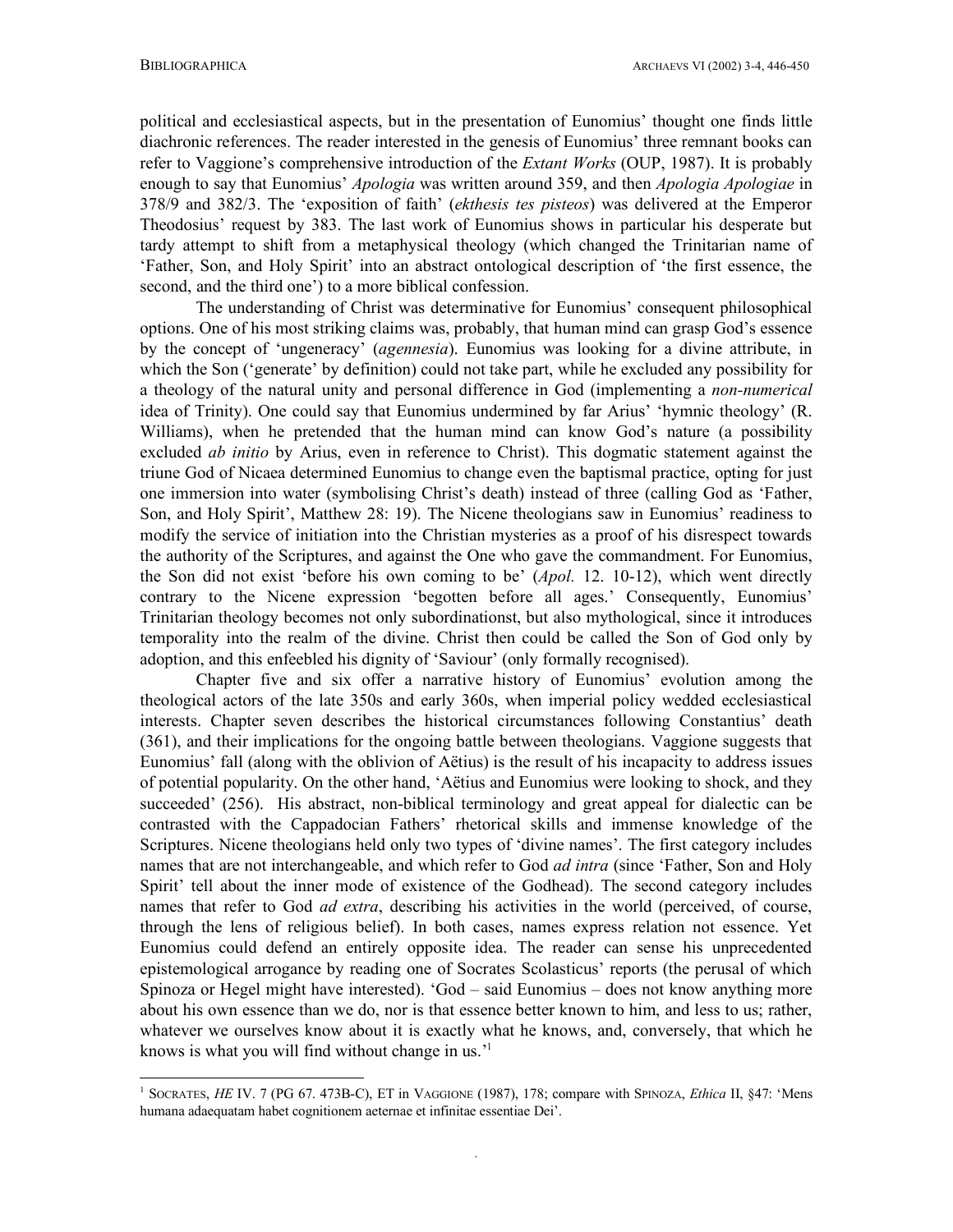1

political and ecclesiastical aspects, but in the presentation of Eunomius' thought one finds little diachronic references. The reader interested in the genesis of Eunomius' three remnant books can refer to Vaggione's comprehensive introduction of the *Extant Works* (OUP, 1987). It is probably enough to say that Eunomius' *Apologia* was written around 359, and then *Apologia Apologiae* in 378/9 and 382/3. The 'exposition of faith' (*ekthesis tes pisteos*) was delivered at the Emperor Theodosius' request by 383. The last work of Eunomius shows in particular his desperate but tardy attempt to shift from a metaphysical theology (which changed the Trinitarian name of 'Father, Son, and Holy Spirit' into an abstract ontological description of 'the first essence, the second, and the third one') to a more biblical confession.

The understanding of Christ was determinative for Eunomius' consequent philosophical options. One of his most striking claims was, probably, that human mind can grasp God's essence by the concept of 'ungeneracy' (*agennesia*). Eunomius was looking for a divine attribute, in which the Son ('generate' by definition) could not take part, while he excluded any possibility for a theology of the natural unity and personal difference in God (implementing a *non-numerical* idea of Trinity). One could say that Eunomius undermined by far Arius' 'hymnic theology' (R. Williams), when he pretended that the human mind can know God's nature (a possibility excluded *ab initio* by Arius, even in reference to Christ). This dogmatic statement against the triune God of Nicaea determined Eunomius to change even the baptismal practice, opting for just one immersion into water (symbolising Christ's death) instead of three (calling God as 'Father, Son, and Holy Spirit', Matthew 28: 19). The Nicene theologians saw in Eunomius' readiness to modify the service of initiation into the Christian mysteries as a proof of his disrespect towards the authority of the Scriptures, and against the One who gave the commandment. For Eunomius, the Son did not exist 'before his own coming to be' (*Apol.* 12. 10-12), which went directly contrary to the Nicene expression 'begotten before all ages.' Consequently, Eunomius' Trinitarian theology becomes not only subordinationst, but also mythological, since it introduces temporality into the realm of the divine. Christ then could be called the Son of God only by adoption, and this enfeebled his dignity of 'Saviour' (only formally recognised).

Chapter five and six offer a narrative history of Eunomius' evolution among the theological actors of the late 350s and early 360s, when imperial policy wedded ecclesiastical interests. Chapter seven describes the historical circumstances following Constantius' death (361), and their implications for the ongoing battle between theologians. Vaggione suggests that Eunomius' fall (along with the oblivion of Aëtius) is the result of his incapacity to address issues of potential popularity. On the other hand, 'Aëtius and Eunomius were looking to shock, and they succeeded' (256). His abstract, non-biblical terminology and great appeal for dialectic can be contrasted with the Cappadocian Fathers' rhetorical skills and immense knowledge of the Scriptures. Nicene theologians held only two types of 'divine names'. The first category includes names that are not interchangeable, and which refer to God *ad intra* (since 'Father, Son and Holy Spirit' tell about the inner mode of existence of the Godhead). The second category includes names that refer to God *ad extra*, describing his activities in the world (perceived, of course, through the lens of religious belief). In both cases, names express relation not essence. Yet Eunomius could defend an entirely opposite idea. The reader can sense his unprecedented epistemological arrogance by reading one of Socrates Scolasticus' reports (the perusal of which Spinoza or Hegel might have interested). 'God – said Eunomius – does not know anything more about his own essence than we do, nor is that essence better known to him, and less to us; rather, whatever we ourselves know about it is exactly what he knows, and, conversely, that which he knows is what you will find without change in us.<sup>'1</sup>

<sup>1</sup> SOCRATES, *HE* IV. 7 (PG 67. 473B-C), ET in VAGGIONE (1987), 178; compare with SPINOZA, *Ethica* II, §47: 'Mens humana adaequatam habet cognitionem aeternae et infinitae essentiae Dei'.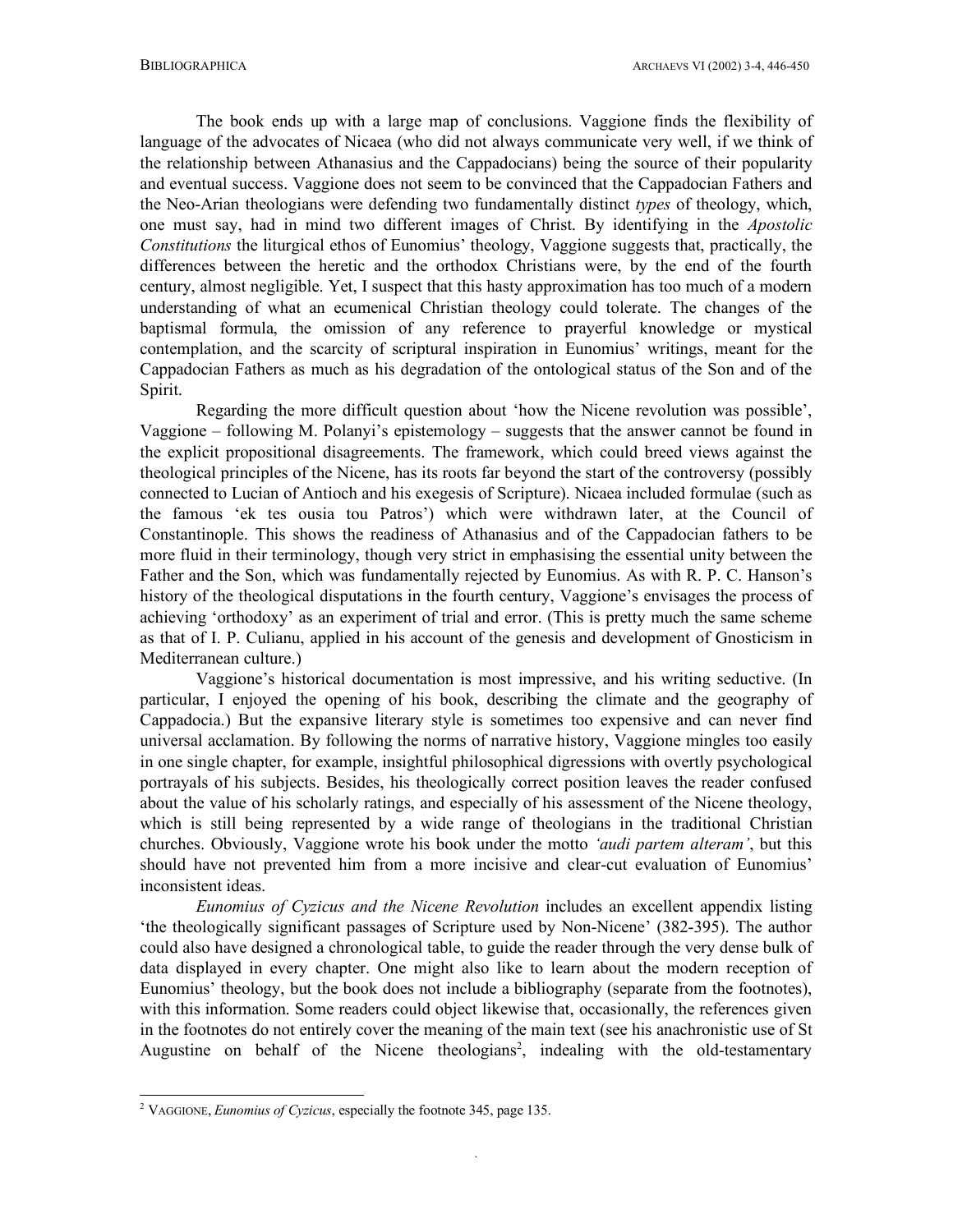The book ends up with a large map of conclusions. Vaggione finds the flexibility of language of the advocates of Nicaea (who did not always communicate very well, if we think of the relationship between Athanasius and the Cappadocians) being the source of their popularity and eventual success. Vaggione does not seem to be convinced that the Cappadocian Fathers and the Neo-Arian theologians were defending two fundamentally distinct *types* of theology, which, one must say, had in mind two different images of Christ. By identifying in the *Apostolic Constitutions* the liturgical ethos of Eunomius' theology, Vaggione suggests that, practically, the differences between the heretic and the orthodox Christians were, by the end of the fourth century, almost negligible. Yet, I suspect that this hasty approximation has too much of a modern understanding of what an ecumenical Christian theology could tolerate. The changes of the baptismal formula, the omission of any reference to prayerful knowledge or mystical contemplation, and the scarcity of scriptural inspiration in Eunomius' writings, meant for the Cappadocian Fathers as much as his degradation of the ontological status of the Son and of the Spirit.

Regarding the more difficult question about 'how the Nicene revolution was possible', Vaggione – following M. Polanyi's epistemology – suggests that the answer cannot be found in the explicit propositional disagreements. The framework, which could breed views against the theological principles of the Nicene, has its roots far beyond the start of the controversy (possibly connected to Lucian of Antioch and his exegesis of Scripture). Nicaea included formulae (such as the famous 'ek tes ousia tou Patros') which were withdrawn later, at the Council of Constantinople. This shows the readiness of Athanasius and of the Cappadocian fathers to be more fluid in their terminology, though very strict in emphasising the essential unity between the Father and the Son, which was fundamentally rejected by Eunomius. As with R. P. C. Hanson's history of the theological disputations in the fourth century, Vaggione's envisages the process of achieving 'orthodoxy' as an experiment of trial and error. (This is pretty much the same scheme as that of I. P. Culianu, applied in his account of the genesis and development of Gnosticism in Mediterranean culture.)

Vaggione's historical documentation is most impressive, and his writing seductive. (In particular, I enjoyed the opening of his book, describing the climate and the geography of Cappadocia.) But the expansive literary style is sometimes too expensive and can never find universal acclamation. By following the norms of narrative history, Vaggione mingles too easily in one single chapter, for example, insightful philosophical digressions with overtly psychological portrayals of his subjects. Besides, his theologically correct position leaves the reader confused about the value of his scholarly ratings, and especially of his assessment of the Nicene theology, which is still being represented by a wide range of theologians in the traditional Christian churches. Obviously, Vaggione wrote his book under the motto *'audi partem alteram'*, but this should have not prevented him from a more incisive and clear-cut evaluation of Eunomius' inconsistent ideas.

*Eunomius of Cyzicus and the Nicene Revolution* includes an excellent appendix listing 'the theologically significant passages of Scripture used by Non-Nicene' (382-395). The author could also have designed a chronological table, to guide the reader through the very dense bulk of data displayed in every chapter. One might also like to learn about the modern reception of Eunomius' theology, but the book does not include a bibliography (separate from the footnotes), with this information. Some readers could object likewise that, occasionally, the references given in the footnotes do not entirely cover the meaning of the main text (see his anachronistic use of St Augustine on behalf of the Nicene theologians<sup>2</sup>, indealing with the old-testamentary

-

<sup>2</sup> VAGGIONE, *Eunomius of Cyzicus*, especially the footnote 345, page 135.